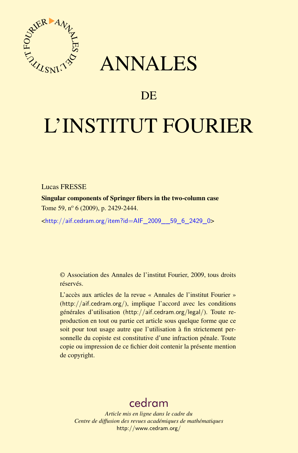

# ANNALES

# **DE**

# L'INSTITUT FOURIER

Lucas FRESSE

Singular components of Springer fibers in the two-column case Tome 59, nº 6 (2009), p. 2429-2444.

<[http://aif.cedram.org/item?id=AIF\\_2009\\_\\_59\\_6\\_2429\\_0](http://aif.cedram.org/item?id=AIF_2009__59_6_2429_0)>

© Association des Annales de l'institut Fourier, 2009, tous droits réservés.

L'accès aux articles de la revue « Annales de l'institut Fourier » (<http://aif.cedram.org/>), implique l'accord avec les conditions générales d'utilisation (<http://aif.cedram.org/legal/>). Toute reproduction en tout ou partie cet article sous quelque forme que ce soit pour tout usage autre que l'utilisation à fin strictement personnelle du copiste est constitutive d'une infraction pénale. Toute copie ou impression de ce fichier doit contenir la présente mention de copyright.

# [cedram](http://www.cedram.org/)

*Article mis en ligne dans le cadre du Centre de diffusion des revues académiques de mathématiques* <http://www.cedram.org/>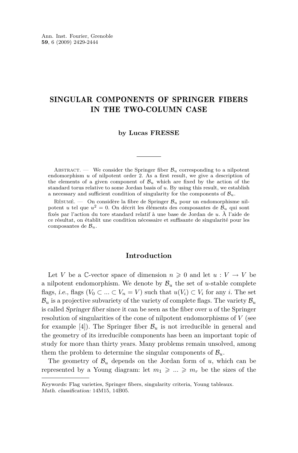## SINGULAR COMPONENTS OF SPRINGER FIBERS IN THE TWO-COLUMN CASE

#### **by Lucas FRESSE**

ABSTRACT. — We consider the Springer fiber  $\mathcal{B}_u$  corresponding to a nilpotent endomorphism *u* of nilpotent order 2. As a first result, we give a description of the elements of a given component of  $B_u$  which are fixed by the action of the standard torus relative to some Jordan basis of *u*. By using this result, we establish a necessary and sufficient condition of singularity for the components of *Bu*.

Résumé. — On considère la fibre de Springer *B<sup>u</sup>* pour un endomorphisme nilpotent *u* tel que *u* <sup>2</sup> = 0. On décrit les éléments des composantes de *B<sup>u</sup>* qui sont fixés par l'action du tore standard relatif à une base de Jordan de *u*. À l'aide de ce résultat, on établit une condition nécessaire et suffisante de singularité pour les composantes de *Bu*.

#### **Introduction**

Let *V* be a C-vector space of dimension  $n \geq 0$  and let  $u: V \to V$  be a nilpotent endomorphism. We denote by  $B<sub>u</sub>$  the set of *u*-stable complete flags, i.e., flags  $(V_0 \subset ... \subset V_n = V)$  such that  $u(V_i) \subset V_i$  for any *i*. The set  $B_u$  is a projective subvariety of the variety of complete flags. The variety  $B_u$ is called Springer fiber since it can be seen as the fiber over *u* of the Springer resolution of singularities of the cone of nilpotent endomorphisms of *V* (see for example [\[4\]](#page-16-0)). The Springer fiber  $\mathcal{B}_u$  is not irreducible in general and the geometry of its irreducible components has been an important topic of study for more than thirty years. Many problems remain unsolved, among them the problem to determine the singular components of  $B_u$ .

The geometry of  $\mathcal{B}_u$  depends on the Jordan form of *u*, which can be represented by a Young diagram: let  $m_1 \geqslant ... \geqslant m_r$  be the sizes of the

Keywords: Flag varieties, Springer fibers, singularity criteria, Young tableaux. Math. classification: 14M15, 14B05.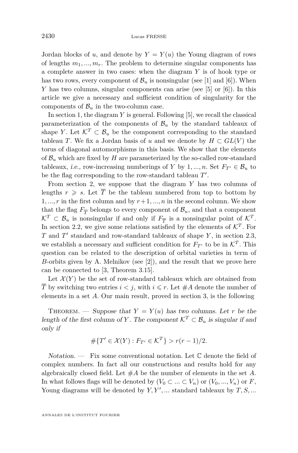Jordan blocks of *u*, and denote by  $Y = Y(u)$  the Young diagram of rows of lengths  $m_1, ..., m_r$ . The problem to determine singular components has a complete answer in two cases: when the diagram *Y* is of hook type or has two rows, every component of  $\mathcal{B}_u$  is nonsingular (see [\[1\]](#page-16-0) and [\[6\]](#page-16-0)). When *Y* has two columns, singular components can arise (see [\[5\]](#page-16-0) or [\[6\]](#page-16-0)). In this article we give a necessary and sufficient condition of singularity for the components of  $\mathcal{B}_u$  in the two-column case.

In section [1,](#page-3-0) the diagram *Y* is general. Following [\[5\]](#page-16-0), we recall the classical parameterization of the components of  $\mathcal{B}_u$  by the standard tableaux of shape *Y*. Let  $\mathcal{K}^T \subset \mathcal{B}_u$  be the component corresponding to the standard tableau *T*. We fix a Jordan basis of *u* and we denote by  $H \subset GL(V)$  the torus of diagonal automorphisms in this basis. We show that the elements of  $\mathcal{B}_u$  which are fixed by *H* are parameterized by the so-called row-standard tableaux, *i.e.*, row-increasing numberings of *Y* by 1, ..., *n*. Set  $F_T \in \mathcal{B}_u$  to be the flag corresponding to the row-standard tableau  $T'$ .

From section [2,](#page-5-0) we suppose that the diagram *Y* has two columns of lengths  $r \geq s$ . Let  $\overline{T}$  be the tableau numbered from top to bottom by 1, ..., r in the first column and by  $r+1, ..., n$  in the second column. We show that the flag  $F_{\overline{T}}$  belongs to every component of  $\mathcal{B}_u$ , and that a component  $\mathcal{K}^T \subset \mathcal{B}_u$  is nonsingular if and only if  $F_{\overline{T}}$  is a nonsingular point of  $\mathcal{K}^T$ . In section [2.2,](#page-6-0) we give some relations satisfied by the elements of  $\mathcal{K}^T$ . For *T* and *T*<sup>'</sup> standard and row-standard tableaux of shape *Y*, in section [2.3,](#page-9-0) we establish a necessary and sufficient condition for  $F_{T'}$  to be in  $\mathcal{K}^T$ . This question can be related to the description of orbital varieties in term of *B*-orbits given by A. Melnikov (see [\[2\]](#page-16-0)), and the result that we prove here can be connected to [\[3,](#page-16-0) Theorem 3.15].

Let  $\mathcal{X}(Y)$  be the set of row-standard tableaux which are obtained from  $\overline{T}$  by switching two entries  $i < j$ , with  $i \leq r$ . Let  $\#A$  denote the number of elements in a set *A*. Our main result, proved in section [3,](#page-11-0) is the following

THEOREM. — Suppose that  $Y = Y(u)$  has two columns. Let *r* be the length of the first column of *Y*. The component  $K^T \subset \mathcal{B}_u$  is singular if and only if

$$
\# \{ T' \in \mathcal{X}(Y) : F_{T'} \in \mathcal{K}^T \} > r(r-1)/2.
$$

 $Notation.$  — Fix some conventional notation. Let  $\mathbb C$  denote the field of complex numbers. In fact all our constructions and results hold for any algebraically closed field. Let #*A* be the number of elements in the set *A*. In what follows flags will be denoted by  $(V_0 \subset \ldots \subset V_n)$  or  $(V_0, \ldots, V_n)$  or *F*, Young diagrams will be denoted by  $Y, Y', \ldots$  standard tableaux by  $T, S, \ldots$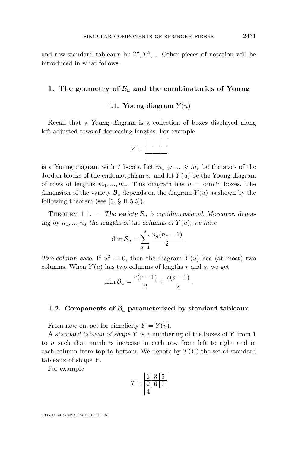<span id="page-3-0"></span>and row-standard tableaux by  $T', T'', \dots$  Other pieces of notation will be introduced in what follows.

#### **1.** The geometry of  $B_u$  and the combinatorics of Young

#### **1.1. Young diagram**  $Y(u)$

Recall that a Young diagram is a collection of boxes displayed along left-adjusted rows of decreasing lengths. For example



is a Young diagram with 7 boxes. Let  $m_1 \geqslant ... \geqslant m_r$  be the sizes of the Jordan blocks of the endomorphism  $u$ , and let  $Y(u)$  be the Young diagram of rows of lengths  $m_1, ..., m_r$ . This diagram has  $n = \dim V$  boxes. The dimension of the variety  $\mathcal{B}_u$  depends on the diagram  $Y(u)$  as shown by the following theorem (see  $[5, § II.5.5]$  $[5, § II.5.5]$ ).

THEOREM 1.1. — The variety  $\mathcal{B}_u$  is equidimensional. Moreover, denoting by  $n_1, ..., n_s$  the lengths of the columns of  $Y(u)$ , we have

$$
\dim \mathcal{B}_u = \sum_{q=1}^s \frac{n_q(n_q-1)}{2} \, .
$$

Two-column case. If  $u^2 = 0$ , then the diagram  $Y(u)$  has (at most) two columns. When  $Y(u)$  has two columns of lengths  $r$  and  $s$ , we get

$$
\dim \mathcal{B}_u = \frac{r(r-1)}{2} + \frac{s(s-1)}{2}.
$$

#### **1.2.** Components of  $B_u$  parameterized by standard tableaux

From now on, set for simplicity  $Y = Y(u)$ .

A standard tableau of shape *Y* is a numbering of the boxes of *Y* from 1 to *n* such that numbers increase in each row from left to right and in each column from top to bottom. We denote by  $\mathcal{T}(Y)$  the set of standard tableaux of shape *Y* .

For example

$$
T = \frac{1 \ 3 \ 5}{2 \ 6 \ 7}
$$

TOME 59 (2009), FASCICULE 6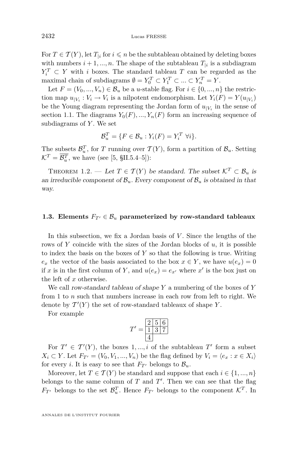<span id="page-4-0"></span>For  $T \in \mathcal{T}(Y)$ , let  $T_{\vert i}$  for  $i \leq n$  be the subtableau obtained by deleting boxes with numbers  $i + 1, \ldots, n$ . The shape of the subtableau  $T_{\vert i}$  is a subdiagram  $Y_i^T \subset Y$  with *i* boxes. The standard tableau *T* can be regarded as the maximal chain of subdiagrams  $\emptyset = Y_0^T \subset Y_1^T \subset \dots \subset Y_n^T = Y$ .

Let  $F = (V_0, ..., V_n) \in \mathcal{B}_u$  be a *u*-stable flag. For  $i \in \{0, ..., n\}$  the restriction map  $u_{|V_i}: V_i \to V_i$  is a nilpotent endomorphism. Let  $Y_i(F) = Y(u_{|V_i})$ be the Young diagram representing the Jordan form of  $u_{|V_i}$  in the sense of section [1.1.](#page-3-0) The diagrams  $Y_0(F), ..., Y_n(F)$  form an increasing sequence of subdiagrams of *Y* . We set

$$
\mathcal{B}_u^T = \{ F \in \mathcal{B}_u : Y_i(F) = Y_i^T \ \forall i \}.
$$

The subsets  $\mathcal{B}_u^T$ , for *T* running over  $\mathcal{T}(Y)$ , form a partition of  $\mathcal{B}_u$ . Setting  $\mathcal{K}^T = \overline{\mathcal{B}_u^T}$ , we have (see [\[5,](#page-16-0) §II.5.4–5]):

THEOREM 1.2. — Let  $T \in \mathcal{T}(Y)$  be standard. The subset  $\mathcal{K}^T \subset \mathcal{B}_u$  is an irreducible component of  $\mathcal{B}_u$ . Every component of  $\mathcal{B}_u$  is obtained in that way.

#### **1.3. Elements**  $F_{T}$ <sup> $\in \mathcal{B}_u$  parameterized by row-standard tableaux</sup>

In this subsection, we fix a Jordan basis of *V*. Since the lengths of the rows of *Y* coincide with the sizes of the Jordan blocks of *u*, it is possible to index the basis on the boxes of *Y* so that the following is true. Writing  $e_x$  the vector of the basis associated to the box  $x \in Y$ , we have  $u(e_x) = 0$ if *x* is in the first column of *Y*, and  $u(e_x) = e_{x'}$  where *x'* is the box just on the left of *x* otherwise.

We call row-standard tableau of shape *Y* a numbering of the boxes of *Y* from 1 to *n* such that numbers increase in each row from left to right. We denote by  $\mathcal{T}'(Y)$  the set of row-standard tableaux of shape Y.

For example

$$
T' = \frac{2 \ 5 \ 6}{1 \ 3 \ 7}
$$

For  $T' \in T'(Y)$ , the boxes 1, ..., *i* of the subtableau  $T'$  form a subset  $X_i \subset Y$ . Let  $F_{T'} = (V_0, V_1, ..., V_n)$  be the flag defined by  $V_i = \langle e_x : x \in X_i \rangle$ for every *i*. It is easy to see that  $F_{T}$ <sup>*i*</sup> belongs to  $\mathcal{B}_u$ *.* 

Moreover, let  $T \in \mathcal{T}(Y)$  be standard and suppose that each  $i \in \{1, ..., n\}$ belongs to the same column of  $T$  and  $T'$ . Then we can see that the flag *F*<sub>*T'*</sub> belongs to the set  $\mathcal{B}_u^T$ . Hence *F*<sub>*T'*</sub> belongs to the component  $\mathcal{K}^T$ . In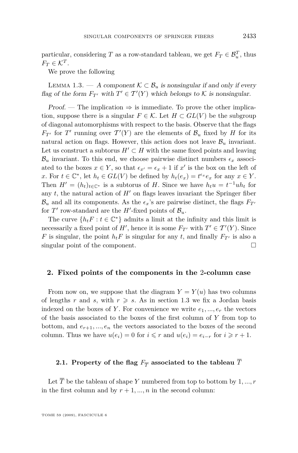<span id="page-5-0"></span>particular, considering *T* as a row-standard tableau, we get  $F_T \in \mathcal{B}_u^T$ , thus  $F_T \in \mathcal{K}^T$ .

We prove the following

LEMMA 1.3. — A component  $K \subset \mathcal{B}_u$  is nonsingular if and only if every flag of the form  $F_{T'}$  with  $T' \in T'(Y)$  which belongs to  $K$  is nonsingular.

Proof. — The implication  $\Rightarrow$  is immediate. To prove the other implication, suppose there is a singular  $F \in \mathcal{K}$ . Let  $H \subset GL(V)$  be the subgroup of diagonal automorphisms with respect to the basis. Observe that the flags *F*<sub>*T'*</sub> for *T'* running over  $T'(Y)$  are the elements of  $\mathcal{B}_u$  fixed by *H* for its natural action on flags. However, this action does not leave  $\mathcal{B}_u$  invariant. Let us construct a subtorus  $H' \subset H$  with the same fixed points and leaving  $B_u$  invariant. To this end, we choose pairwise distinct numbers  $\epsilon_x$  associated to the boxes  $x \in Y$ , so that  $\epsilon_{x'} = \epsilon_x + 1$  if  $x'$  is the box on the left of *x*. For  $t \in \mathbb{C}^*$ , let  $h_t \in GL(V)$  be defined by  $h_t(e_x) = t^{\epsilon_x}e_x$  for any  $x \in Y$ . Then  $H' = (h_t)_{t \in \mathbb{C}^*}$  is a subtorus of *H*. Since we have  $h_t u = t^{-1}uh_t$  for any  $t$ , the natural action of  $H'$  on flags leaves invariant the Springer fiber  $B_u$  and all its components. As the  $\epsilon_x$ 's are pairwise distinct, the flags  $F_{T}$ <sup>*i*</sup> for  $T'$  row-standard are the  $H'$ -fixed points of  $\mathcal{B}_u$ .

The curve  $\{h_t F : t \in \mathbb{C}^*\}$  admits a limit at the infinity and this limit is necessarily a fixed point of *H'*, hence it is some  $F_{T'}$  with  $T' \in T'(Y)$ . Since *F* is singular, the point  $h_t F$  is singular for any *t*, and finally  $F_{T}$ <sup>*i*</sup> is also a singular point of the component.

#### **2. Fixed points of the components in the** 2**-column case**

From now on, we suppose that the diagram  $Y = Y(u)$  has two columns of lengths *r* and *s*, with  $r \geq s$ . As in section [1.3](#page-4-0) we fix a Jordan basis indexed on the boxes of Y. For convenience we write  $e_1, ..., e_r$  the vectors of the basis associated to the boxes of the first column of *Y* from top to bottom, and  $e_{r+1},...,e_n$  the vectors associated to the boxes of the second column. Thus we have  $u(e_i) = 0$  for  $i \leq r$  and  $u(e_i) = e_{i-r}$  for  $i \geq r + 1$ .

## **2.1.** Property of the flag  $F_{\overline{T}}$  associated to the tableau  $T$

Let  $\overline{T}$  be the tableau of shape *Y* numbered from top to bottom by 1, ..., *r* in the first column and by  $r + 1, ..., n$  in the second column: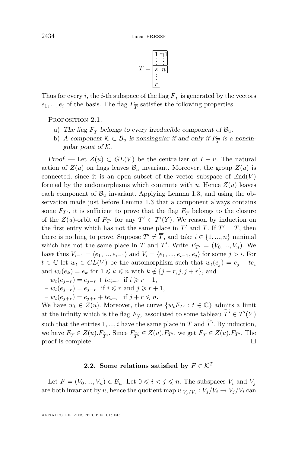

<span id="page-6-0"></span>Thus for every *i*, the *i*-th subspace of the flag  $F_{\overline{T}}$  is generated by the vectors  $e_1, \ldots, e_i$  of the basis. The flag  $F_{\overline{T}}$  satisfies the following properties.

PROPOSITION 2.1.

- a) The flag  $F_{\overline{T}}$  belongs to every irreducible component of  $B_u$ .
- b) A component  $K \subset \mathcal{B}_u$  is nonsingular if and only if  $F_{\overline{T}}$  is a nonsingular point of *K*.

Proof. — Let  $Z(u) \subset GL(V)$  be the centralizer of  $I + u$ . The natural action of  $Z(u)$  on flags leaves  $B_u$  invariant. Moreover, the group  $Z(u)$  is connected, since it is an open subset of the vector subspace of  $End(V)$ formed by the endomorphisms which commute with  $u$ . Hence  $Z(u)$  leaves each component of  $\mathcal{B}_u$  invariant. Applying Lemma [1.3,](#page-5-0) and using the observation made just before Lemma [1.3](#page-5-0) that a component always contains some  $F_{T}$ <sup>*i*</sup>, it is sufficient to prove that the flag  $F_{\overline{T}}$  belongs to the closure of the  $Z(u)$ -orbit of  $F_{T'}$  for any  $T' \in T'(Y)$ . We reason by induction on the first entry which has not the same place in  $T'$  and  $\overline{T}$ . If  $T' = \overline{T}$ , then there is nothing to prove. Suppose  $T' \neq \overline{T}$ , and take  $i \in \{1, ..., n\}$  minimal which has not the same place in  $\overline{T}$  and  $T'$ . Write  $F_{T'} = (V_0, ..., V_n)$ . We *have thus*  $V_{i-1} = \langle e_1, ..., e_{i-1} \rangle$  and  $V_i = \langle e_1, ..., e_{i-1}, e_j \rangle$  for some *j > i*. For *t* ∈  $\mathbb{C}$  let  $w_t$  ∈  $GL(V)$  be the automorphism such that  $w_t(e_j) = e_j + te_i$ and  $w_t(e_k) = e_k$  for  $1 \leq k \leq n$  with  $k \notin \{j - r, j, j + r\}$ , and

$$
-w_t(e_{j-r}) = e_{j-r} + te_{i-r} \text{ if } i \geq r+1,
$$

$$
-w_t(e_{j-r}) = e_{j-r} \text{ if } i \leq r \text{ and } j \geq r+1,
$$

 $-v_t(e_{i+r}) = e_{i+r} + te_{i+r}$  if  $j + r \leq n$ .

We have  $w_t \in Z(u)$ . Moreover, the curve  $\{w_t F_{T'} : t \in \mathbb{C}\}\$  admits a limit at the infinity which is the flag  $F_{\widetilde{T}'}$  associated to some tableau  $\widetilde{T}' \in \mathcal{T}'(Y)$ <br>such that the entries 1 *i* have the same place in  $\overline{T}$  and  $\widetilde{T}'$ . By induction such that the entries 1, ..., *i* have the same place in  $\overline{T}$  and  $T'$ . By induction, we have  $F_{\overline{T}} \in Z(u)$ .  $F_{\widetilde{T'}}$ . Since  $F_{\widetilde{T'}} \in Z(u)$ .  $F_{T'}$ , we get  $F_{\overline{T}} \in Z(u)$ .  $F_{T'}$ . The proof is complete. proof is complete.

## **2.2.** Some relations satisfied by  $F \in \mathcal{K}^T$

Let  $F = (V_0, ..., V_n) \in \mathcal{B}_u$ . Let  $0 \leq i \leq j \leq n$ . The subspaces  $V_i$  and  $V_j$ are both invariant by *u*, hence the quotient map  $u_{|V_j/V_i}: V_j/V_i \to V_j/V_i$  can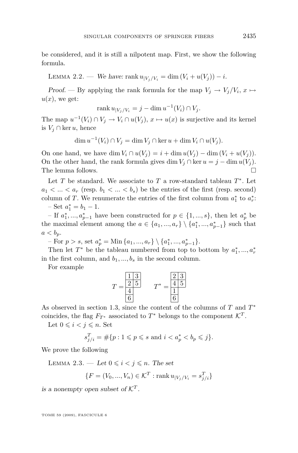<span id="page-7-0"></span>be considered, and it is still a nilpotent map. First, we show the following formula.

LEMMA 2.2. — We have: rank  $u_{|V_i/V_i} = \dim(V_i + u(V_i)) - i$ .

Proof. — By applying the rank formula for the map  $V_j \to V_j/V_i$ ,  $x \mapsto$  $u(x)$ , we get:

$$
\operatorname{rank} u_{|V_j/V_i} = j - \dim u^{-1}(V_i) \cap V_j.
$$

The map  $u^{-1}(V_i) \cap V_j \to V_i \cap u(V_j)$ ,  $x \mapsto u(x)$  is surjective and its kernel is *V<sup>j</sup> ∩* ker *u*, hence

dim  $u^{-1}(V_i) ∩ V_j = \dim V_j ∩ \ker u + \dim V_i ∩ u(V_j)$ .

On one hand, we have dim  $V_i \cap u(V_j) = i + \dim u(V_j) - \dim (V_i + u(V_j)).$ On the other hand, the rank formula gives dim  $V_i \cap \ker u = j - \dim u(V_i)$ . The lemma follows.

Let  $T$  be standard. We associate to  $T$  a row-standard tableau  $T^*$ . Let  $a_1 < ... < a_r$  (resp.  $b_1 < ... < b_s$ ) be the entries of the first (resp. second) column of *T*. We renumerate the entries of the first column from  $a_1^*$  to  $a_r^*$ :

 $-$  Set  $a_1^* = b_1 - 1$ .

*−* If  $a_1^*, \ldots, a_{p-1}^*$  have been constructed for  $p \in \{1, \ldots, s\}$ , then let  $a_p^*$  be the maximal element among the  $a \in \{a_1, ..., a_r\} \setminus \{a_1^*, ..., a_{p-1}^*\}$  such that  $a < b_p$ .

 $-$  For  $p > s$ , set  $a_p^* =$  Min  $\{a_1, ..., a_r\} \setminus \{a_1^*, ..., a_{p-1}^*\}.$ 

Then let  $T^*$  be the tableau numbered from top to bottom by  $a_1^*,..., a_r^*$ in the first column, and  $b_1, \ldots, b_s$  in the second column.

For example

$$
T = \frac{\begin{array}{|c|c|}\n\hline\n1 & 3 \\
\hline\n2 & 5 \\
\hline\n4 & & \\
\hline\n6 & & \\
\hline\n\end{array}
$$
 
$$
T^* = \frac{\begin{array}{|c|}\n\hline\n2 & 3 \\
\hline\n4 & 5 \\
\hline\n1 & & \\
\hline\n6 & & \\
\hline\n\end{array}
$$

As observed in section [1.3,](#page-4-0) since the content of the columns of *T* and *T ∗* coincides, the flag  $F_{T^*}$  associated to  $T^*$  belongs to the component  $\mathcal{K}^T$ .

Let  $0 \leq i \leq j \leq n$ . Set

$$
s_{j/i}^T = \# \{ p : 1 \leq p \leq s \text{ and } i < a_p^* < b_p \leq j \}.
$$

We prove the following

LEMMA 2.3. — Let  $0 \leq i \leq j \leq n$ . The set

$$
\{F = (V_0, ..., V_n) \in \mathcal{K}^T : \text{rank } u_{|V_j/V_i} = s_{j/i}^T\}
$$

is a nonempty open subset of  $K^T$ .

TOME 59 (2009), FASCICULE 6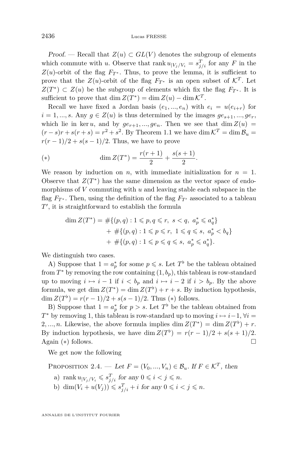<span id="page-8-0"></span>Proof. — Recall that  $Z(u) \subset GL(V)$  denotes the subgroup of elements which commute with *u*. Observe that rank  $u_{|V_j/V_i} = s_{j/i}^T$  for any *F* in the  $Z(u)$ -orbit of the flag  $F_{T^*}$ . Thus, to prove the lemma, it is sufficient to prove that the  $Z(u)$ -orbit of the flag  $F_{T^*}$  is an open subset of  $\mathcal{K}^T$ . Let  $Z(T^*) \subset Z(u)$  be the subgroup of elements which fix the flag  $F_{T^*}$ . It is sufficient to prove that  $\dim Z(T^*) = \dim Z(u) - \dim \mathcal{K}^T$ .

Recall we have fixed a Jordan basis  $(e_1, ..., e_n)$  with  $e_i = u(e_{i+r})$  for  $i = 1, \ldots, s$ . Any  $g \in Z(u)$  is thus determined by the images  $ge_{s+1}, \ldots, ge_r$ , which lie in ker *u*, and by  $ge_{r+1}, ..., ge_n$ . Then we see that dim  $Z(u)$  =  $(r - s)r + s(r + s) = r^2 + s^2$ . By Theorem [1.1](#page-3-0) we have dim  $K^T = \dim \mathcal{B}_u$  $r(r-1)/2 + s(s-1)/2$ . Thus, we have to prove

(\*) 
$$
\dim Z(T^*) = \frac{r(r+1)}{2} + \frac{s(s+1)}{2}.
$$

We reason by induction on *n*, with immediate initialization for  $n = 1$ . Observe that  $Z(T^*)$  has the same dimension as the vector space of endomorphisms of *V* commuting with *u* and leaving stable each subspace in the flag  $F_{T^*}$ . Then, using the definition of the flag  $F_{T'}$  associated to a tableau T', it is straightforward to establish the formula

$$
\dim Z(T^*) = \#\{(p,q) : 1 \leq p, q \leq r, s < q, a_p^* \leq a_q^* \} + \#\{(p,q) : 1 \leq p \leq r, 1 \leq q \leq s, a_p^* < b_q \} + \#\{(p,q) : 1 \leq p \leq q \leq s, a_p^* \leq a_q^* \}.
$$

We distinguish two cases.

A) Suppose that  $1 = a_p^*$  for some  $p \leq s$ . Let  $T^{\flat}$  be the tableau obtained from  $T^*$  by removing the row containing  $(1, b_p)$ , this tableau is row-standard up to moving  $i \mapsto i-1$  if  $i < b_p$  and  $i \mapsto i-2$  if  $i > b_p$ . By the above formula, we get dim  $Z(T^*)$  = dim  $Z(T^*)$  + *r* + *s*. By induction hypothesis, dim  $Z(T^{\flat}) = r(r-1)/2 + s(s-1)/2$ . Thus (\*) follows.

B) Suppose that  $1 = a_p^*$  for  $p > s$ . Let  $T^{\flat}$  be the tableau obtained from *T*<sup>\*</sup> by removing 1, this tableau is row-standard up to moving  $i \mapsto i-1$ ,  $\forall i =$ 2, ..., *n*. Likewise, the above formula implies dim  $Z(T^*) = \dim Z(T^*) + r$ . By induction hypothesis, we have dim  $Z(T^{\flat}) = r(r-1)/2 + s(s+1)/2$ . Again (*∗*) follows.

We get now the following

PROPOSITION 2.4. — Let  $F = (V_0, ..., V_n) \in \mathcal{B}_u$ . If  $F \in \mathcal{K}^T$ , then

- a) rank  $u_{|V_j/V_i} \leqslant s_{j/i}^T$  for any  $0 \leqslant i < j \leqslant n$ .
- b) dim $(V_i + u(V_j)) \leq s_{j/i}^T + i$  for any  $0 \leq i < j \leq n$ .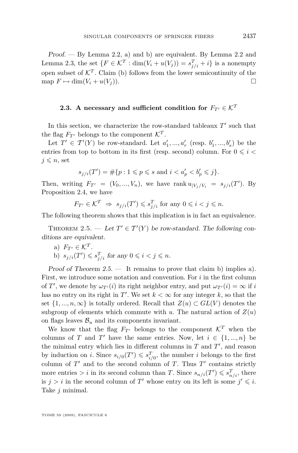<span id="page-9-0"></span>Proof. — By Lemma [2.2,](#page-7-0) a) and b) are equivalent. By Lemma [2.2](#page-7-0) and Lemma [2.3,](#page-7-0) the set  $\{F \in \mathcal{K}^T : \dim(V_i + u(V_j)) = s_{j/i}^T + i\}$  is a nonempty open subset of  $\mathcal{K}^T$ . Claim (b) follows from the lower semicontinuity of the  $\Box$  map  $F \mapsto \dim(V_i + u(V_i)).$ 

### **2.3.** A necessary and sufficient condition for  $F_{T'} \in \mathcal{K}^T$

In this section, we characterize the row-standard tableaux  $T'$  such that the flag  $F_{T}$ <sup>*i*</sup> belongs to the component  $\mathcal{K}^T$ .

Let  $T' \in T'(Y)$  be row-standard. Let  $a'_1, ..., a'_r$  (resp.  $b'_1, ..., b'_s$ ) be the entries from top to bottom in its first (resp. second) column. For  $0 \leq i <$  $j \leqslant n$ , set

$$
s_{j/i}(T') = \# \{ p : 1 \leq p \leq s \text{ and } i < a'_p < b'_p \leq j \}.
$$

Then, writing  $F_{T'} = (V_0, ..., V_n)$ , we have rank  $u_{|V_j/V_i} = s_{j/i}(T')$ . By Proposition [2.4,](#page-8-0) we have

$$
F_{T'} \in \mathcal{K}^T \implies s_{j/i}(T') \leqslant s_{j/i}^T \text{ for any } 0 \leqslant i < j \leqslant n.
$$

The following theorem shows that this implication is in fact an equivalence.

THEOREM 2.5. — Let  $T' \in T'(Y)$  be row-standard. The following conditions are equivalent.

a)  $F_{T'} \in \mathcal{K}^T$ . b)  $s_{j/i}(T') \leqslant s_{j/i}^T$  for any  $0 \leqslant i < j \leqslant n$ .

Proof of Theorem  $2.5$ .  $-$  It remains to prove that claim b) implies a). First, we introduce some notation and convention. For *i* in the first column of *T'*, we denote by  $\omega_{T'}(i)$  its right neighbor entry, and put  $\omega_{T'}(i) = \infty$  if *i* has no entry on its right in  $T'$ . We set  $k < \infty$  for any integer  $k$ , so that the set  $\{1, ..., n, \infty\}$  is totally ordered. Recall that  $Z(u) \subset GL(V)$  denotes the subgroup of elements which commute with *u*. The natural action of  $Z(u)$ on flags leaves  $\mathcal{B}_u$  and its components invariant.

We know that the flag  $F_{T}$ <sup>*i*</sup> belongs to the component  $K^T$  when the columns of *T* and *T*<sup> $\prime$ </sup> have the same entries. Now, let  $i \in \{1, ..., n\}$  be the minimal entry which lies in different columns in  $T$  and  $T'$ , and reason by induction on *i*. Since  $s_{i/0}(T') \leqslant s_{i/0}^T$ , the number *i* belongs to the first column of  $T'$  and to the second column of  $T$ . Thus  $T'$  contains strictly more entries  $> i$  in its second column than *T*. Since  $s_{n/i}(T') \leqslant s_{n/i}^T$ , there is  $j > i$  in the second column of  $T'$  whose entry on its left is some  $j' \leq i$ . Take *j* minimal.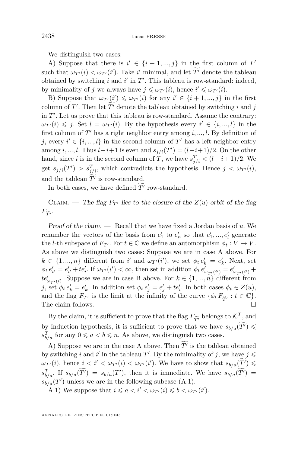We distinguish two cases:

A) Suppose that there is  $i' \in \{i+1, ..., j\}$  in the first column of  $T'$ such that  $\omega_{T'}(i) < \omega_{T'}(i')$ . Take *i*' minimal, and let  $T'$  denote the tableau obtained by switching  $i$  and  $i'$  in  $T'$ . This tableau is row-standard: indeed, by minimality of *j* we always have  $j \leq \omega_{T'}(i)$ , hence  $i' \leq \omega_{T'}(i)$ .

B) Suppose that  $\omega_{T'}(i') \leq \omega_{T'}(i)$  for any  $i' \in \{i+1, ..., j\}$  in the first column of *T'*. Then let  $\overline{T}'$  denote the tableau obtained by switching *i* and *j* in  $T'$ . Let us prove that this tableau is row-standard. Assume the contrary:  $\omega_{T'}(i) \leqslant j$ . Set  $l = \omega_{T'}(i)$ . By the hypothesis every  $i' \in \{i, ..., l\}$  in the first column of  $T'$  has a right neighbor entry among  $i, ..., l$ . By definition of *j*, every  $i' \in \{i, ..., l\}$  in the second column of  $T'$  has a left neighbor entry among *i*, ..., *l*. Thus  $l-i+1$  is even and  $s_{j/i}(T') = (l-i+1)/2$ . On the other hand, since *i* is in the second column of *T*, we have  $s_{j/i}^T < (l - i + 1)/2$ . We get  $s_{j/i}(T') > s_{j/i}^T$ , which contradicts the hypothesis. Hence  $j < \omega_{T'}(i)$ , and the tableau  $T'$  is row-standard.

In both cases, we have defined  $\widetilde{T'}$  row-standard.

CLAIM. — The flag  $F_{T}$ <sup>*i*</sup> lies to the closure of the  $Z(u)$ -orbit of the flag  $F_{\widetilde{T}'}$ .

Proof of the claim. — Recall that we have fixed a Jordan basis of *u*. We renumber the vectors of the basis from  $e'_1$  to  $e'_n$  so that  $e'_1, ..., e'_l$  generate the *l*-th subspace of  $F_{T}$ . For  $t \in \mathbb{C}$  we define an automorphism  $\phi_t : V \to V$ . As above we distinguish two cases: Suppose we are in case A above. For  $k \in \{1, ..., n\}$  different from *i*' and  $\omega_{T}(i')$ , we set  $\phi_t e'_k = e'_k$ . Next, set  $\phi_t e'_{i'} = e'_{i'} + te'_{i}$ . If  $\omega_{T'}(i') < \infty$ , then set in addition  $\phi_t e'_{\omega_{T'}(i')} = e'_{\omega_{T'}(i')} +$  $te'_{\omega_{T'}(i)}$ . Suppose we are in case B above. For  $k \in \{1, ..., n\}$  different from j, set  $\phi_t e'_k = e'_k$ . In addition set  $\phi_t e'_j = e'_j + te'_i$ . In both cases  $\phi_t \in Z(u)$ , and the flag  $F_{T'}$  is the limit at the infinity of the curve  $\{\phi_t F_{\widetilde{T}'} : t \in \mathbb{C}\}.$ <br>The claim follows. The claim follows.  $\Box$ 

By the claim, it is sufficient to prove that the flag  $F_{\widetilde{T}}$  belongs to  $\mathcal{K}^T$ , and induction hypothesis it is sufficient to prove that we have  $s_{\mathcal{U}}(\widetilde{T'})$ by induction hypothesis, it is sufficient to prove that we have  $s_{b/a}(T') \leq$  $s_{b/a}^T$  for any  $0 \leq a < b \leq n$ . As above, we distinguish two cases.

A) Suppose we are in the case A above. Then  $T'$  is the tableau obtained by switching *i* and *i'* in the tableau  $T'$ . By the minimality of *j*, we have  $j \leq$  $\omega_{T'}(i)$ , hence  $i < i' < \omega_{T'}(i) < \omega_{T'}(i')$ . We have to show that  $s_{b/a}(\widetilde{T'}) \leq$  $s_{b/a}^T$ . If  $s_{b/a}(T') = s_{b/a}(T')$ , then it is immediate. We have  $s_{b/a}(T') =$  $s_{b/a}(T')$  unless we are in the following subcase (A.1).

A.1) We suppose that  $i \le a < i' < \omega_{T'}(i) \le b < \omega_{T'}(i').$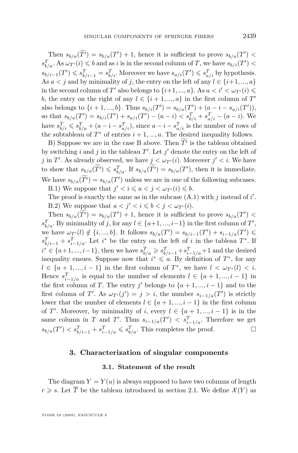<span id="page-11-0"></span>Then  $s_{b/a}(T') = s_{b/a}(T') + 1$ , hence it is sufficient to prove  $s_{b/a}(T') <$  $s_{b/a}^T$ . As  $\omega_{T'}(i) \leqslant b$  and as *i* is in the second column of *T*, we have  $s_{b/i}(T')$  <  $s_{b/i-1}(T') \leqslant s_{b/i-1}^T = s_{b/i}^T$ . Moreover we have  $s_{a/i}(T') \leqslant s_{a/i}^T$  by hypothesis. As  $a < j$  and by minimality of *j*, the entry on the left of any  $l \in \{i+1, ..., a\}$ in the second column of  $T'$  also belongs to  $\{i+1, ..., a\}$ . As  $a < i' < \omega_{T'}(i) \leq$ *b*, the entry on the right of any  $l \in \{i+1, ..., a\}$  in the first column of  $T'$ also belongs to  $\{i+1,...,b\}$ . Thus  $s_{b/i}(T') = s_{b/a}(T') + (a - i - s_{a/i}(T')),$ so that  $s_{b/a}(T') = s_{b/i}(T') + s_{a/i}(T') - (a - i) < s_{b/i}^T + s_{a/i}^T - (a - i)$ . We have  $s_{b/i}^T \leqslant s_{b/a}^T + (a - i - s_{a/i}^T)$ , since  $a - i - s_{a/i}^T$  is the number of rows of the subtableau of  $T^*$  of entries  $i + 1, ..., a$ . The desired inequality follows.

B) Suppose we are in the case B above. Then  $T'$  is the tableau obtained by switching *i* and *j* in the tableau  $T'$ . Let  $j'$  denote the entry on the left of *j* in *T'*. As already observed, we have  $j < \omega_{T'}(i)$ . Moreover  $j' < i$ . We have to show that  $s_{b/a}(\widetilde{T'}) \leqslant s_{b/a}^T$ . If  $s_{b/a}(\widetilde{T'}) = s_{b/a}(T')$ , then it is immediate. We have  $s_{b/a}(T') = s_{b/a}(T')$  unless we are in one of the following subcases. B.1) We suppose that  $j' < i \leq a < j < \omega_{T'}(i) \leq b$ .

The proof is exactly the same as in the subcase  $(A.1)$  with  $j$  instead of  $i'$ . B.2) We suppose that  $a < j' < i \leq b < j < \omega_{T'}(i)$ .

Then  $s_{b/a}(T') = s_{b/a}(T') + 1$ , hence it is sufficient to prove  $s_{b/a}(T') <$  $s_{b/a}^T$ . By minimality of *j*, for any  $l \in \{a+1, ..., i-1\}$  in the first column of *T*', we have  $\omega_{T'}(l) \notin \{i, ..., b\}$ . It follows  $s_{b/a}(T') = s_{b/i-1}(T') + s_{i-1/a}(T') \leq$  $s_{b/i-1}^T + s_{i-1/a}^T$ . Let *i*<sup>\*</sup> be the entry on the left of *i* in the tableau *T*<sup>\*</sup>. If  $i^* \in \{a+1, ..., i-1\}$ , then we have  $s_{b/a}^T \geqslant s_{b/i-1}^T + s_{i-1/a}^T + 1$  and the desired inequality ensues. Suppose now that  $i^* \leq a$ . By definition of  $T^*$ , for any  $l \in \{a+1, ..., i-1\}$  in the first column of  $T^*$ , we have  $l < \omega_{T^*}(l) < i$ . Hence  $s_{i-1/a}^T$  is equal to the number of elements  $l \in \{a+1, ..., i-1\}$  in the first column of *T*. The entry *j'* belongs to  $\{a+1, ..., i-1\}$  and to the first column of *T'*. As  $\omega_{T'}(j') = j > i$ , the number  $s_{i-1/a}(T')$  is strictly lower that the number of elements  $l \in \{a+1, ..., i-1\}$  in the first column of *T'*. Moreover, by minimality of *i*, every  $l \in \{a+1, ..., i-1\}$  is in the same column in *T* and *T'*. Thus  $s_{i-1/a}(T') < s_{i-1/a}^T$ . Therefore we get  $s_{b/a}(T') < s_{b/i-1}^T + s_{i-1/a}^T \leqslant s_{b/a}^T$ . This completes the proof.

#### **3. Characterization of singular components**

#### **3.1. Statement of the result**

The diagram  $Y = Y(u)$  is always supposed to have two columns of length  $r \geqslant s$ . Let  $\overline{T}$  be the tableau introduced in section [2.1.](#page-5-0) We define  $\mathcal{X}(Y)$  as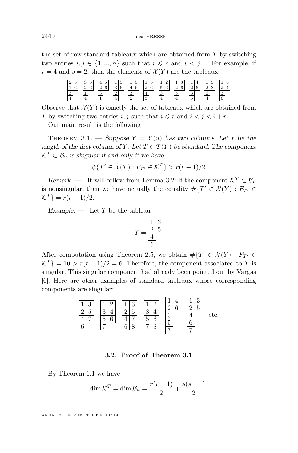the set of row-standard tableaux which are obtained from  $\overline{T}$  by switching two entries  $i, j \in \{1, ..., n\}$  such that  $i \leq r$  and  $i < j$ . For example, if  $r = 4$  and  $s = 2$ , then the elements of  $\mathcal{X}(Y)$  are the tableaux:

| $\Omega$<br>▵   | $\Omega$<br>ಀ               | I             |                             | r.          |                        | $\sim$                | $\Omega$               |                               |                      | 5           |
|-----------------|-----------------------------|---------------|-----------------------------|-------------|------------------------|-----------------------|------------------------|-------------------------------|----------------------|-------------|
| $\sqrt{2}$<br>ᆠ | $\Omega$<br>$\epsilon$<br>- | $\sim$        | $\Omega$<br>$\sqrt{2}$<br>ಀ | $\sim$<br>≖ | $\Omega$<br>$\sqrt{2}$ | ۰<br>$\sim$<br>ь<br>υ | $\Omega$<br>$\sqrt{2}$ | $\Omega$<br>$\sqrt{2}$        | $\Omega$<br>$\Omega$ | $4^{\mid}$  |
| $\Omega$<br>∣↩  |                             | $\Omega$<br>v | $\Omega$<br>∠               | $\sim$<br>ಀ | 仕                      | $\sim$<br>ಀ           | ۰<br>ð                 | $\sim$<br>◡                   | 6                    | $\sim$<br>ಀ |
| $\frac{1}{4}$   | $\overline{4}$              | ٠             | $\overline{4}$              | $\Omega$    | 3                      | 4                     | 4                      | $\overline{\phantom{0}}$<br>ð | 4                    | ◠<br>O      |

Observe that  $\mathcal{X}(Y)$  is exactly the set of tableaux which are obtained from  $\overline{T}$  by switching two entries *i, j* such that  $i \leq r$  and  $i < j < i + r$ .

Our main result is the following

THEOREM 3.1. — Suppose  $Y = Y(u)$  has two columns. Let r be the length of the first column of *Y*. Let  $T \in \mathcal{T}(Y)$  be standard. The component  $\mathcal{K}^T \subset \mathcal{B}_u$  is singular if and only if we have

$$
\# \{ T' \in \mathcal{X}(Y) : F_{T'} \in \mathcal{K}^T \} > r(r-1)/2.
$$

Remark. — It will follow from Lemma [3.2:](#page-13-0) if the component  $K^T \subset \mathcal{B}_u$ is nonsingular, then we have actually the equality  $\#{T' \in \mathcal{X}(Y) : F_{T'} \in \mathcal{X}(Y)}$  $\mathcal{K}^T$ } =  $r(r-1)/2$ .

Example.  $\frac{1}{\sqrt{2}}$  Let *T* be the tableau

$$
T = \frac{\frac{1}{2} \frac{3}{5}}{\frac{4}{6}}
$$

After computation using Theorem [2.5,](#page-9-0) we obtain  $\# \{ T' \in \mathcal{X}(Y) : F_{T'} \in \mathcal{X}(Y) \}$  $K^{T}$ } = 10 *> r*(*r* − 1)/2 = 6. Therefore, the component associated to *T* is singular. This singular component had already been pointed out by Vargas [\[6\]](#page-16-0). Here are other examples of standard tableaux whose corresponding components are singular:

 3 5 7 2 4 6 3 5 7 8 2 4 6 8 4 6 3 5 etc.

#### **3.2. Proof of Theorem 3.1**

By Theorem [1.1](#page-3-0) we have

$$
\dim \mathcal{K}^T = \dim \mathcal{B}_u = \frac{r(r-1)}{2} + \frac{s(s-1)}{2}.
$$

ANNALES DE L'INSTITUT FOURIER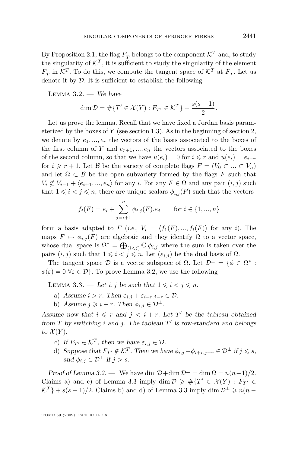<span id="page-13-0"></span>By Proposition [2.1,](#page-6-0) the flag  $F_{\overline{T}}$  belongs to the component  $\mathcal{K}^T$  and, to study the singularity of  $\mathcal{K}^T$ , it is sufficient to study the singularity of the element  $F_{\overline{T}}$  in  $K^T$ . To do this, we compute the tangent space of  $K^T$  at  $F_{\overline{T}}$ . Let us denote it by *D*. It is sufficient to establish the following

LEMMA  $3.2.$  — We have

$$
\dim \mathcal{D} = \# \{ T' \in \mathcal{X}(Y) : F_{T'} \in \mathcal{K}^T \} + \frac{s(s-1)}{2}.
$$

Let us prove the lemma. Recall that we have fixed a Jordan basis parameterized by the boxes of *Y* (see section [1.3\)](#page-4-0). As in the beginning of section [2,](#page-5-0) we denote by  $e_1, ..., e_r$  the vectors of the basis associated to the boxes of the first column of *Y* and  $e_{r+1},...,e_n$  the vectors associated to the boxes of the second column, so that we have  $u(e_i) = 0$  for  $i \leq r$  and  $u(e_i) = e_{i-r}$ for  $i \geq r + 1$ . Let *B* be the variety of complete flags  $F = (V_0 \subset ... \subset V_n)$ and let  $\Omega \subset \mathcal{B}$  be the open subvariety formed by the flags *F* such that  $V_i \not\subset V_{i-1} + \langle e_{i+1}, \ldots, e_n \rangle$  for any *i*. For any  $F \in \Omega$  and any pair  $(i, j)$  such that  $1 \leq i \leq j \leq n$ , there are unique scalars  $\phi_{i,j}(F)$  such that the vectors

$$
f_i(F) = e_i + \sum_{j=i+1}^n \phi_{i,j}(F).e_j \quad \text{for } i \in \{1, ..., n\}
$$

form a basis adapted to *F* (i.e.,  $V_i = \langle f_1(F),...,f_i(F) \rangle$  for any *i*). The maps  $F \mapsto \phi_{i,j}(F)$  are algebraic and they identify  $\Omega$  to a vector space, whose dual space is  $\Omega^* = \bigoplus_{(i < j)} \mathbb{C} \cdot \phi_{i,j}$  where the sum is taken over the pairs  $(i, j)$  such that  $1 \leq i < j \leq n$ . Let  $(\varepsilon_{i,j})$  be the dual basis of  $\Omega$ .

The tangent space  $\mathcal{D}$  is a vector subspace of  $\Omega$ . Let  $\mathcal{D}^{\perp} = \{ \phi \in \Omega^* :$  $\phi(\varepsilon) = 0 \,\forall \varepsilon \in \mathcal{D}$ . To prove Lemma 3.2, we use the following

LEMMA 3.3. — Let *i*, *j* be such that  $1 \leq i < j \leq n$ .

- a) Assume  $i > r$ . Then  $\varepsilon_{i,j} + \varepsilon_{i-r,j-r} \in \mathcal{D}$ .
- b) Assume  $j \geqslant i + r$ . Then  $\phi_{i,j} \in \mathcal{D}^{\perp}$ .

Assume now that  $i \leq r$  and  $j \leq i + r$ . Let T' be the tableau obtained from  $\overline{T}$  by switching *i* and *j*. The tableau  $T'$  is row-standard and belongs to  $\mathcal{X}(Y)$ .

- c) If  $F_{T'} \in \mathcal{K}^T$ , then we have  $\varepsilon_{i,j} \in \mathcal{D}$ .
- d) Suppose that  $F_{T'} \notin \mathcal{K}^T$ . Then we have  $\phi_{i,j} \phi_{i+r,j+r} \in \mathcal{D}^\perp$  if  $j \leq s$ , and  $\phi_{i,j} \in \mathcal{D}^{\perp}$  if  $j > s$ .

Proof of Lemma 3.2. — We have dim  $\mathcal{D}$ +dim  $\mathcal{D}^{\perp}$  = dim  $\Omega = n(n-1)/2$ . Claims a) and c) of Lemma 3.3 imply dim  $\mathcal{D} \geq \#\{T' \in \mathcal{X}(Y) : F_{T'} \in \mathcal{D}\}$  $K^T$ } + *s*(*s* − 1)/2. Claims b) and d) of Lemma 3.3 imply dim  $\mathcal{D}^{\perp} \geq n(n - 1)$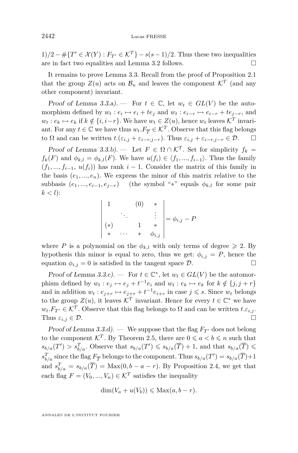1)/2 − #{ $T' \in \mathcal{X}(Y) : F_{T'} \in \mathcal{K}^T$ } −  $s(s-1)/2$ . Thus these two inequalities are in fact two equalities and Lemma [3.2](#page-13-0) follows.  $\Box$ 

It remains to prove Lemma [3.3.](#page-13-0) Recall from the proof of Proposition [2.1](#page-6-0) that the group  $Z(u)$  acts on  $\mathcal{B}_u$  and leaves the component  $\mathcal{K}^T$  (and any other component) invariant.

Proof of Lemma [3.3.](#page-13-0)a). — For  $t \in \mathbb{C}$ , let  $w_t \in GL(V)$  be the automorphism defined by  $w_t : e_i \mapsto e_i + te_j$  and  $w_t : e_{i-r} \mapsto e_{i-r} + te_{j-r}$ , and  $w_t: e_k \mapsto e_k$  if  $k \notin \{i, i-r\}$ . We have  $w_t \in Z(u)$ , hence  $w_t$  leaves  $\mathcal{K}^T$  invariant. For any  $t \in \mathbb{C}$  we have thus  $w_t \cdot F_{\overline{T}} \in \mathcal{K}^T$ . Observe that this flag belongs  $\Box$  to  $\Omega$  and can be written  $t$ . $(\varepsilon_{i,j} + \varepsilon_{i-r,j-r})$ . Thus  $\varepsilon_{i,j} + \varepsilon_{i-r,j-r} \in \mathcal{D}$ .  $\Box$ 

Proof of Lemma [3.3.](#page-13-0)b). — Let  $F \in \Omega \cap \mathcal{K}^T$ . Set for simplicity  $f_k =$  $f_k(F)$  and  $\phi_{k,l} = \phi_{k,l}(F)$ . We have  $u(f_i) \in \langle f_1, ..., f_{i-1} \rangle$ . Thus the family  $(f_1, ..., f_{i-1}, u(f_i))$  has rank  $i-1$ . Consider the matrix of this family in the basis  $(e_1, ..., e_n)$ . We express the minor of this matrix relative to the subbasis  $(e_1, ..., e_{i-1}, e_{j-r})$  (the symbol "\*" equals  $\phi_{k,l}$  for some pair  $k < l$ :

$$
\begin{vmatrix}\n1 & (0) & * \\
\vdots & \ddots & \vdots \\
\ast & \cdots & * & \phi_{i,j}\n\end{vmatrix} = \phi_{i,j} - P
$$

where *P* is a polynomial on the  $\phi_{k,l}$  with only terms of degree  $\geq 2$ . By hypothesis this minor is equal to zero, thus we get:  $\phi_{i,j} = P$ , hence the equation  $\phi_{i,j} = 0$  is satisfied in the tangent space  $\mathcal{D}$ .

Proof of Lemma [3.3.](#page-13-0)c). — For  $t \in \mathbb{C}^*$ , let  $w_t \in GL(V)$  be the automorphism defined by  $w_t : e_j \mapsto e_j + t^{-1}e_i$  and  $w_t : e_k \mapsto e_k$  for  $k \notin \{j, j + r\}$ and in addition  $w_t : e_{j+r} \mapsto e_{j+r} + t^{-1}e_{i+r}$  in case  $j \leq s$ . Since  $w_t$  belongs to the group  $Z(u)$ , it leaves  $\mathcal{K}^T$  invariant. Hence for every  $t \in \mathbb{C}^*$  we have  $w_t.F_{T'} \in \mathcal{K}^T$ . Observe that this flag belongs to  $\Omega$  and can be written  $t.\varepsilon_{i,j}$ . Thus  $\varepsilon_{i,j} \in \mathcal{D}$ .

Proof of Lemma [3.3.](#page-13-0)d). — We suppose that the flag  $F_{T}$  does not belong to the component  $\mathcal{K}^T$ . By Theorem [2.5,](#page-9-0) there are  $0 \leq a < b \leq n$  such that  $s_{b/a}(T') > s_{b/a}^T$ . Observe that  $s_{b/a}(T') \leqslant s_{b/a}(\overline{T}) + 1$ , and that  $s_{b/a}(\overline{T}) \leqslant$  $s_{b/a}^T$  since the flag  $F_{\overline{T}}$  belongs to the component. Thus  $s_{b/a}(T') = s_{b/a}(\overline{T}) + 1$ and  $s_{b/a}^T = s_{b/a}(\overline{T}) = \text{Max}(0, b - a - r)$ . By Proposition [2.4,](#page-8-0) we get that each flag  $F = (V_0, ..., V_n) \in \mathcal{K}^T$  satisfies the inequality

$$
\dim(V_a + u(V_b)) \leq \text{Max}(a, b - r).
$$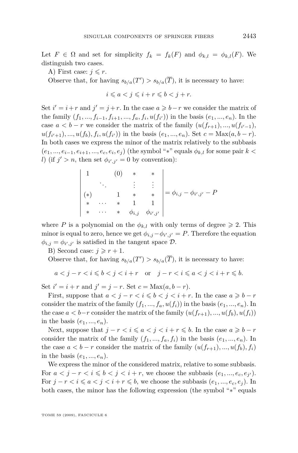Let  $F \in \Omega$  and set for simplicity  $f_k = f_k(F)$  and  $\phi_{k,l} = \phi_{k,l}(F)$ . We distinguish two cases.

A) First case:  $j \leq r$ .

Observe that, for having  $s_{b/a}(T') > s_{b/a}(\overline{T})$ , it is necessary to have:

$$
i\leqslant a
$$

Set  $i' = i + r$  and  $j' = j + r$ . In the case  $a \geq b - r$  we consider the matrix of the family  $(f_1, ..., f_{i-1}, f_{i+1}, ..., f_a, f_i, u(f_{i'}))$  in the basis  $(e_1, ..., e_n)$ . In the case  $a < b - r$  we consider the matrix of the family  $(u(f_{r+1}),..., u(f_{i'-1}),$  $u(f_{i'+1}),..., u(f_b), f_i, u(f_{i'})$  in the basis  $(e_1,...,e_n)$ . Set  $c = \text{Max}(a, b-r)$ . In both cases we express the minor of the matrix relatively to the subbasis  $(e_1, ..., e_{i-1}, e_{i+1}, ..., e_c, e_i, e_j)$  (the symbol " $*$ " equals  $\phi_{k,l}$  for some pair  $k <$ *l*) (if  $j' > n$ , then set  $\phi_{i',j'} = 0$  by convention):

$$
\begin{vmatrix}\n1 & (0) & * & * \\
& \vdots & \vdots & \vdots \\
(*) & 1 & * & * \\
& * & \cdots & * & 1 \\
& * & \cdots & * & \phi_{i,j} & \phi_{i',j'}\n\end{vmatrix} = \phi_{i,j} - \phi_{i',j'} - P
$$

where P is a polynomial on the  $\phi_{k,l}$  with only terms of degree  $\geq 2$ . This minor is equal to zero, hence we get  $\phi_{i,j} - \phi_{i',j'} = P$ . Therefore the equation  $\phi_{i,j} = \phi_{i',j'}$  is satisfied in the tangent space  $\mathcal{D}$ .

B) Second case:  $j \geq r + 1$ .

Observe that, for having  $s_{b/a}(T') > s_{b/a}(\overline{T})$ , it is necessary to have:

$$
a < j - r < i \leqslant b < j < i + r \quad \text{or} \quad j - r < i \leqslant a < j < i + r \leqslant b.
$$

Set  $i' = i + r$  and  $j' = j - r$ . Set  $c = Max(a, b - r)$ .

First, suppose that  $a < j - r < i \leq b < j < i + r$ . In the case  $a \geq b - r$ consider the matrix of the family  $(f_1, ..., f_a, u(f_i))$  in the basis  $(e_1, ..., e_n)$ . In the case  $a < b-r$  consider the matrix of the family  $(u(f_{r+1}),..., u(f_b), u(f_i))$ in the basis  $(e_1, ..., e_n)$ .

Next, suppose that  $j - r < i \leq a < j < i + r \leq b$ . In the case  $a \geq b - r$ consider the matrix of the family  $(f_1, ..., f_a, f_i)$  in the basis  $(e_1, ..., e_n)$ . In the case  $a < b-r$  consider the matrix of the family  $(u(f_{r+1}),..., u(f_b), f_i)$ in the basis  $(e_1, ..., e_n)$ .

We express the minor of the considered matrix, relative to some subbasis. For  $a < j - r < i \leqslant b < j < i + r$ , we choose the subbasis  $(e_1, ..., e_c, e_{j'})$ . For  $j - r < i \leq a < j < i + r \leq b$ , we choose the subbasis  $(e_1, ..., e_c, e_j)$ . In both cases, the minor has the following expression (the symbol "*∗*" equals